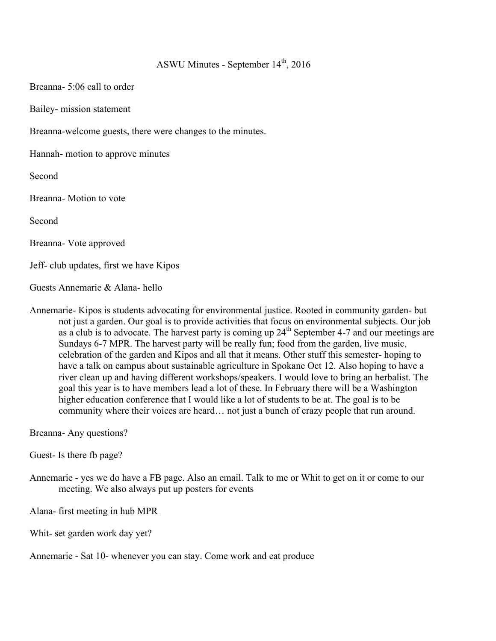## ASWU Minutes - September  $14<sup>th</sup>$ , 2016

Breanna- 5:06 call to order

Bailey- mission statement

Breanna-welcome guests, there were changes to the minutes.

Hannah- motion to approve minutes

Second

Breanna- Motion to vote

Second

Breanna- Vote approved

Jeff- club updates, first we have Kipos

Guests Annemarie & Alana- hello

Annemarie- Kipos is students advocating for environmental justice. Rooted in community garden- but not just a garden. Our goal is to provide activities that focus on environmental subjects. Our job as a club is to advocate. The harvest party is coming up  $24<sup>th</sup>$  September 4-7 and our meetings are Sundays 6-7 MPR. The harvest party will be really fun; food from the garden, live music, celebration of the garden and Kipos and all that it means. Other stuff this semester- hoping to have a talk on campus about sustainable agriculture in Spokane Oct 12. Also hoping to have a river clean up and having different workshops/speakers. I would love to bring an herbalist. The goal this year is to have members lead a lot of these. In February there will be a Washington higher education conference that I would like a lot of students to be at. The goal is to be community where their voices are heard… not just a bunch of crazy people that run around.

Breanna- Any questions?

Guest- Is there fb page?

Annemarie - yes we do have a FB page. Also an email. Talk to me or Whit to get on it or come to our meeting. We also always put up posters for events

Alana- first meeting in hub MPR

Whit- set garden work day yet?

Annemarie - Sat 10- whenever you can stay. Come work and eat produce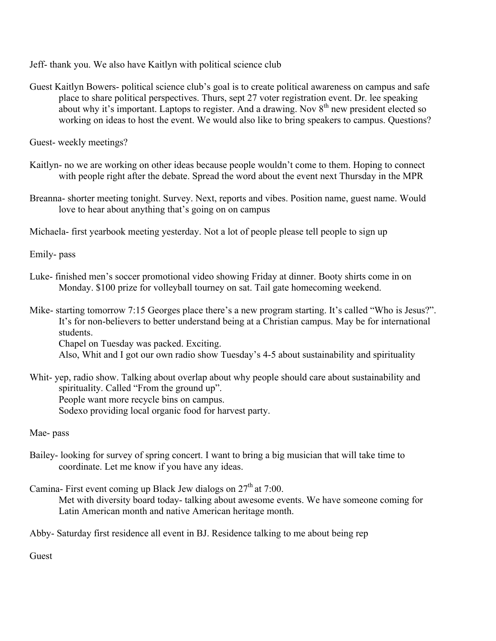Jeff- thank you. We also have Kaitlyn with political science club

Guest Kaitlyn Bowers- political science club's goal is to create political awareness on campus and safe place to share political perspectives. Thurs, sept 27 voter registration event. Dr. lee speaking about why it's important. Laptops to register. And a drawing. Nov  $8<sup>th</sup>$  new president elected so working on ideas to host the event. We would also like to bring speakers to campus. Questions?

Guest- weekly meetings?

- Kaitlyn- no we are working on other ideas because people wouldn't come to them. Hoping to connect with people right after the debate. Spread the word about the event next Thursday in the MPR
- Breanna- shorter meeting tonight. Survey. Next, reports and vibes. Position name, guest name. Would love to hear about anything that's going on on campus

Michaela- first yearbook meeting yesterday. Not a lot of people please tell people to sign up

Emily- pass

- Luke- finished men's soccer promotional video showing Friday at dinner. Booty shirts come in on Monday. \$100 prize for volleyball tourney on sat. Tail gate homecoming weekend.
- Mike- starting tomorrow 7:15 Georges place there's a new program starting. It's called "Who is Jesus?". It's for non-believers to better understand being at a Christian campus. May be for international students.

Chapel on Tuesday was packed. Exciting.

Also, Whit and I got our own radio show Tuesday's 4-5 about sustainability and spirituality

Whit- yep, radio show. Talking about overlap about why people should care about sustainability and spirituality. Called "From the ground up". People want more recycle bins on campus. Sodexo providing local organic food for harvest party.

Mae- pass

Bailey- looking for survey of spring concert. I want to bring a big musician that will take time to coordinate. Let me know if you have any ideas.

Camina- First event coming up Black Jew dialogs on  $27<sup>th</sup>$  at 7:00.

Met with diversity board today- talking about awesome events. We have someone coming for Latin American month and native American heritage month.

Abby- Saturday first residence all event in BJ. Residence talking to me about being rep

Guest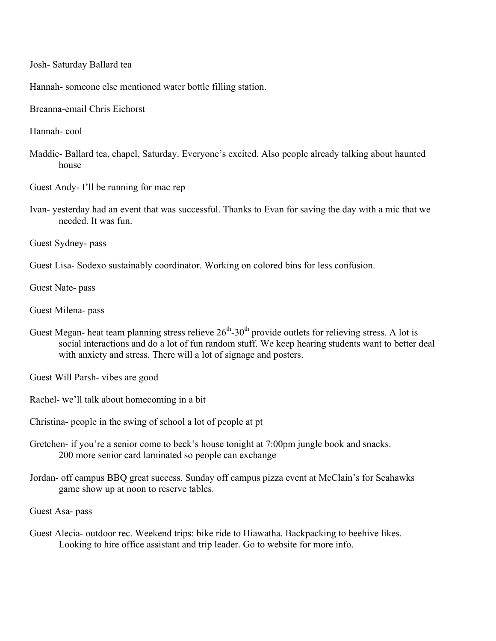Josh- Saturday Ballard tea

Hannah- someone else mentioned water bottle filling station.

Breanna-email Chris Eichorst

Hannah- cool

Maddie- Ballard tea, chapel, Saturday. Everyone's excited. Also people already talking about haunted house

Guest Andy- I'll be running for mac rep

Ivan- yesterday had an event that was successful. Thanks to Evan for saving the day with a mic that we needed. It was fun.

Guest Sydney- pass

Guest Lisa- Sodexo sustainably coordinator. Working on colored bins for less confusion.

Guest Nate- pass

Guest Milena- pass

Guest Megan- heat team planning stress relieve  $26<sup>th</sup>$ -30<sup>th</sup> provide outlets for relieving stress. A lot is social interactions and do a lot of fun random stuff. We keep hearing students want to better deal with anxiety and stress. There will a lot of signage and posters.

Guest Will Parsh- vibes are good

Rachel- we'll talk about homecoming in a bit

Christina- people in the swing of school a lot of people at pt

- Gretchen- if you're a senior come to beck's house tonight at 7:00pm jungle book and snacks. 200 more senior card laminated so people can exchange
- Jordan- off campus BBQ great success. Sunday off campus pizza event at McClain's for Seahawks game show up at noon to reserve tables.

Guest Asa- pass

Guest Alecia- outdoor rec. Weekend trips: bike ride to Hiawatha. Backpacking to beehive likes. Looking to hire office assistant and trip leader. Go to website for more info.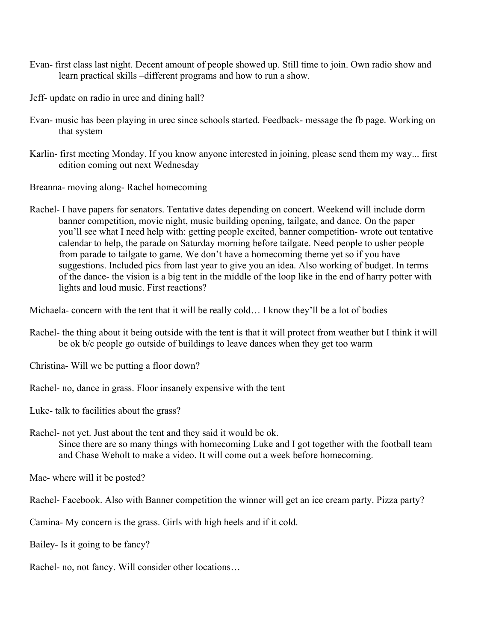- Evan- first class last night. Decent amount of people showed up. Still time to join. Own radio show and learn practical skills –different programs and how to run a show.
- Jeff- update on radio in urec and dining hall?
- Evan- music has been playing in urec since schools started. Feedback- message the fb page. Working on that system
- Karlin- first meeting Monday. If you know anyone interested in joining, please send them my way... first edition coming out next Wednesday

Breanna- moving along- Rachel homecoming

Rachel- I have papers for senators. Tentative dates depending on concert. Weekend will include dorm banner competition, movie night, music building opening, tailgate, and dance. On the paper you'll see what I need help with: getting people excited, banner competition- wrote out tentative calendar to help, the parade on Saturday morning before tailgate. Need people to usher people from parade to tailgate to game. We don't have a homecoming theme yet so if you have suggestions. Included pics from last year to give you an idea. Also working of budget. In terms of the dance- the vision is a big tent in the middle of the loop like in the end of harry potter with lights and loud music. First reactions?

Michaela- concern with the tent that it will be really cold… I know they'll be a lot of bodies

- Rachel- the thing about it being outside with the tent is that it will protect from weather but I think it will be ok b/c people go outside of buildings to leave dances when they get too warm
- Christina- Will we be putting a floor down?
- Rachel- no, dance in grass. Floor insanely expensive with the tent

Luke- talk to facilities about the grass?

Rachel- not yet. Just about the tent and they said it would be ok.

Since there are so many things with homecoming Luke and I got together with the football team and Chase Weholt to make a video. It will come out a week before homecoming.

Mae- where will it be posted?

Rachel- Facebook. Also with Banner competition the winner will get an ice cream party. Pizza party?

Camina- My concern is the grass. Girls with high heels and if it cold.

Bailey- Is it going to be fancy?

Rachel- no, not fancy. Will consider other locations…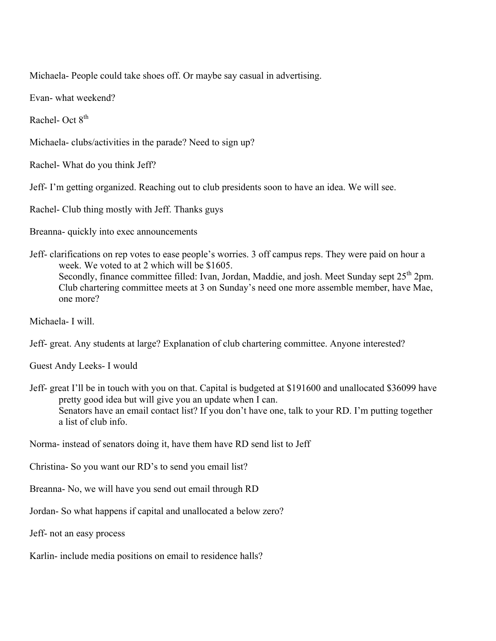Michaela- People could take shoes off. Or maybe say casual in advertising.

Evan- what weekend?

Rachel- Oct 8th

Michaela- clubs/activities in the parade? Need to sign up?

Rachel- What do you think Jeff?

Jeff- I'm getting organized. Reaching out to club presidents soon to have an idea. We will see.

Rachel- Club thing mostly with Jeff. Thanks guys

Breanna- quickly into exec announcements

Jeff- clarifications on rep votes to ease people's worries. 3 off campus reps. They were paid on hour a week. We voted to at 2 which will be \$1605. Secondly, finance committee filled: Ivan, Jordan, Maddie, and josh. Meet Sunday sept 25<sup>th</sup> 2pm. Club chartering committee meets at 3 on Sunday's need one more assemble member, have Mae, one more?

Michaela- I will.

Jeff- great. Any students at large? Explanation of club chartering committee. Anyone interested?

Guest Andy Leeks- I would

Jeff- great I'll be in touch with you on that. Capital is budgeted at \$191600 and unallocated \$36099 have pretty good idea but will give you an update when I can. Senators have an email contact list? If you don't have one, talk to your RD. I'm putting together a list of club info.

Norma- instead of senators doing it, have them have RD send list to Jeff

Christina- So you want our RD's to send you email list?

Breanna- No, we will have you send out email through RD

Jordan- So what happens if capital and unallocated a below zero?

Jeff- not an easy process

Karlin- include media positions on email to residence halls?